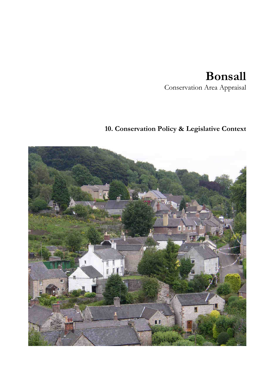# **Bonsall**

Conservation Area Appraisal

# **10. Conservation Policy & Legislative Context**

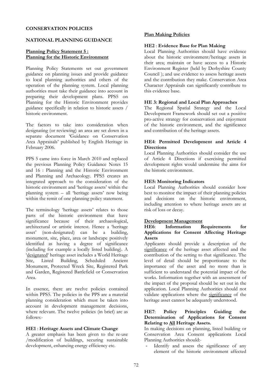#### **CONSERVATION POLICIES**

#### **NATIONAL PLANNING GUIDANCE**

#### **Planning Policy Statement 5 : Planning for the Historic Environment**

Planning Policy Statements set out government guidance on planning issues and provide guidance to local planning authorities and others of the operation of the planning system. Local planning authorities must take their guidance into account in preparing their development plans. PPS5 on Planning for the Historic Environment provides guidance specifically in relation to historic assets / historic environment.

The factors to take into consideration when designating (or reviewing) an area are set down in a separate document 'Guidance on Conservation Area Appraisals' published by English Heritage in February 2006.

PPS 5 came into force in March 2010 and replaced the previous Planning Policy Guidance Notes 15 and 16 : Planning and the Historic Environment and Planning and Archaeology. PPS5 creates an integrated approach to the consideration of the historic environment and 'heritage assets' within the planning system – all 'heritage assets' now being within the remit of one planning policy statement.

The terminology 'heritage assets' relates to those parts of the historic environment that have significance because of their archaeological, architectural or artistic interest. Hence a 'heritage asset' (non-designated) can be a building, monument, site, place, area or landscape positively identified as having a degree of significance (including for example a locally listed building). A 'designated' heritage asset includes a World Heritage Site, Listed Building, Scheduled Ancient Monument, Protected Wreck Site, Registered Park and Garden, Registered Battlefield or Conservation Area.

In essence, there are twelve policies contained within PPS5. The policies in the PPS are a material planning consideration which must be taken into account in development management decisions, where relevant. The twelve policies (in brief) are as follows:-

#### **HE1** : **Heritage Assets and Climate Change**

A greater emphasis has been given to the re-use /modification of buildings, securing sustainable development, enhancing energy efficiency etc.

#### **Plan Making Policies**

#### **HE2** : **Evidence Base for Plan Making**

Local Planning Authorities should have evidence about the historic environment/heritage assets in their area; maintain or have access to a Historic Environment Register (held by Derbyshire County Council ); and use evidence to assess heritage assets and the contribution they make. Conservation Area Character Appraisals can significantly contribute to this evidence base.

#### **HE 3: Regional and Local Plan Approaches**

The Regional Spatial Strategy and the Local Development Framework should set out a positive pro-active strategy for conservation and enjoyment of the historic environment, and the significance and contribution of the heritage assets.

#### **HE4**: **Permitted Development and Article 4 Directions**

Local Planning Authorities should consider the use of Article 4 Directions if exercising permitted development rights would undermine the aims for the historic environment.

#### **HE5: Monitoring Indicators**

Local Planning Authorities should consider how best to monitor the impact of their planning policies and decisions on the historic environment, including attention to where heritage assets are at risk of loss or decay.

#### **Development Management**

#### **HE6**: **Information Requirements for Applications for Consent Affecting Heritage Assets**

Applicants should provide a description of the significance of the heritage asset affected and the contribution of the setting to that significance. The level of detail should be proportionate to the importance of the asset and no more than is sufficient to understand the potential impact of the works. Information together with an assessment of the impact of the proposal should be set out in the application. Local Planning Authorities should not validate applications where the significance of the heritage asset cannot be adequately understood.

#### **HE7**: **Policy Principles Guiding the Determination of Applications for Consent Relating to All Heritage Assets.**

In making decisions on planning, listed building or Conservation Area Consent applications Local Planning Authorities should:-

Identify and assess the significance of any element of the historic environment affected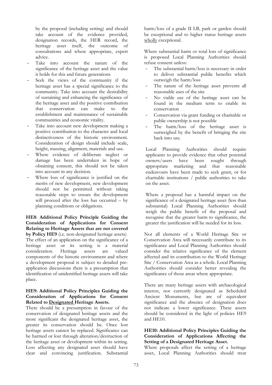by the proposal (including setting) and should take account of the evidence provided, designation records, the HER record, the heritage asset itself, the outcome of consultations and where appropriate, expert advice.

- Take into account the nature of the significance of the heritage asset and the value it holds for this and future generations
- Seek the views of the community if the heritage asset has a special significance to the community. Take into account the desirability of sustaining and enhancing the significance of the heritage asset and the positive contribution<br>that conservation can make to the that conservation can make to the establishment and maintenance of sustainable communities and economic vitality.
- Take into account new development making a positive contribution to the character and local distinctiveness of the historic environment. Consideration of design should include scale, height, massing, alignment, materials and use.
- Where evidence of deliberate neglect or damage has been undertaken in hope of obtaining consent, this should not be taken into account in any decision.
- Where loss of significance is justified on the merits of new development, new development should not be permitted without taking reasonable steps to ensure the development will proceed after the loss has occurred – by planning conditions or obligations.

**HE8**: **Additional Policy Principle Guiding the Consideration of Applications for Consent Relating to Heritage Assets that are not covered by Policy HE9** (i.e. non-designated heritage assets) The effect of an application on the significance of a heritage asset or its setting is a material consideration. Heritage assets are valued components of the historic environment and where a development proposal is subject to detailed preapplication discussions there is a presumption that identification of unidentified heritage assets will take place.

#### **HE9: Additional Policy Principles Guiding the Consideration of Applications for Consent Related to Designated Heritage Assets.**

There should be a presumption in favour of the conservation of designated heritage assets and the more significant the designated heritage asset, the greater its conservation should be. Once lost heritage assets cannot be replaced. Significance can be harmed or lost through alteration/destruction of the heritage asset or development within its setting. Loss affecting any designated asset should have clear and convincing justification. Substantial

harm/loss of a grade II LB, park or garden should be exceptional and to higher status heritage assets wholly exceptional.

Where substantial harm or total loss of significance is proposed Local Planning Authorities should refuse consent unless:

- The substantial harm/loss is necessary in order to deliver substantial public benefits which outweigh the harm/loss
- The nature of the heritage asset prevents all reasonable uses of the site
- No viable use of the heritage asset can be found in the medium term to enable its conservation
- Conservation via grant funding or charitable or public ownership is not possible
- The harm/loss of the heritage asset is outweighed by the benefit of bringing the site back into use.

Local Planning Authorities should require applicants to provide evidence that other potential owners/users have been sought through appropriate marketing and that reasonable endeavours have been made to seek grant, or for charitable institutions / public authorities to take on the asset.

Where a proposal has a harmful impact on the significance of a designated heritage asset (less than substantial) Local Planning Authorities should weigh the public benefit of the proposal and recognise that the greater harm to significance, the greater the justification will be needed for its loss.

Not all elements of a World Heritage Site or Conservation Area will necessarily contribute to its significance and Local Planning Authorities should consider the relative significance of the element affected and its contribution to the World Heritage Site / Conservation Area as a whole. Local Planning Authorities should consider better revealing the significance of those areas where appropriate.

There are many heritage assets with archaeological interest, not currently designated as Scheduled Ancient Monuments, but are of equivalent significance and the absence of designation does not indicate a lower significance. These assets should be considered in the light of policies HE9 and HE10.

#### **HE10: Additional Policy Principles Guiding the Consideration of Applications Affecting the Setting of a Designated Heritage Asset.**

Where proposals affect the setting of a heritage asset, Local Planning Authorities should treat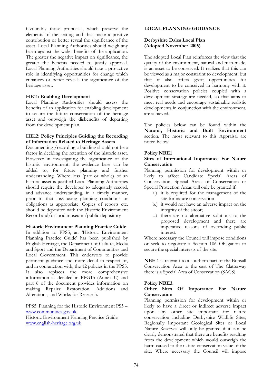favourably those proposals, which preserve the elements of the setting and that make a positive contribution or better reveal the significance of the asset. Local Planning Authorities should weigh any harm against the wider benefits of the application. The greater the negative impact on significance, the greater the benefits needed to justify approval. Local Planning Authorities should take a pro-active role in identifying opportunities for change which enhances or better reveals the significance of the heritage asset.

#### **HE11: Enabling Development**

Local Planning Authorities should assess the benefits of an application for enabling development to secure the future conservation of the heritage asset and outweigh the disbenefits of departing from the development plan.

#### **HE12: Policy Principles Guiding the Recording of Information Related to Heritage Assets**

Documenting /recording a building should not be a factor in deciding the retention of the historic asset. However in investigating the significance of the historic environment, the evidence base can be added to, for future planning and further understanding. Where loss (part or whole) of an historic asset is justified Local Planning Authorities should require the developer to adequately record, and advance understanding, in a timely manner, prior to that loss using planning conditions or obligations as appropriate. Copies of reports etc, should be deposited with the Historic Environment Record and/or local museum /public depository

#### **Historic Environment Planning Practice Guide**

In addition to PPS5, an 'Historic Environment Planning Practice Guide' has been published by English Heritage, the Department of Culture, Media and Sport and the Department of Communities and Local Government. This endeavors to provide pertinent guidance and more detail in respect of, and in conjunction with, the 12 policies in the PPS5. It also replaces the more comprehensive information as detailed in PPG15 (Annex C) and part 6 of the document provides information on making Repairs; Restoration, Additions and Alterations; and Works for Research.

PPS5: Planning for the Historic Environment PS5 – www.communities.gov.uk

Historic Environment Planning Practice Guide www.english-heritage.org.uk

#### **LOCAL PLANNING GUIDANCE**

#### **Derbyshire Dales Local Plan (Adopted November 2005)**

The adopted Local Plan reinforces the view that the quality of the environment, natural and man-made, is an asset to be conserved. It realizes that this can be viewed as a major constraint to development, but that it also offers great opportunities for development to be conceived in harmony with it. Positive conservation policies coupled with a development strategy are needed, so that aims to meet real needs and encourage sustainable realistic developments in conjunction with the environment. are achieved.

The policies below can be found within the **Natural, Historic and Built Environment** section. The most relevant to this Appraisal are noted below.

#### **Policy NBE1**

#### **Sites of International Importance For Nature Conservation**

Planning permission for development within or likely to affect Candidate Special Areas of Conservation, Special Areas of Conservation or Special Protection Areas will only be granted if:

- a.) it is required for the management of the site for nature conservation
- b.) it would not have an adverse impact on the integrity of the siteor;
- c.) there are no alternative solutions to the proposed development and there are imperative reasons of overriding public interest.

Where necessary the Council will impose conditions or seek to negotiate a Section 106 Obligation to secure the special interests of the site.

**NBE 1** is relevant to a southern part of the Bonsall Conservation Area to the east of The Clatterway there is a Special Area of Conservation (SACS).

#### **Policy NBE3.**

#### **Other Sites Of Importance For Nature Conservation**

Planning permission for development within or likely to have a direct or indirect adverse impact upon any other site important for nature conservation including Derbyshire Wildlife Sites, Regionally Important Geological Sites or Local Nature Reserves will only be granted if it can be clearly demonstrated that there are benefits resulting from the development which would outweigh the harm caused to the nature conservation value of the site. Where necessary the Council will impose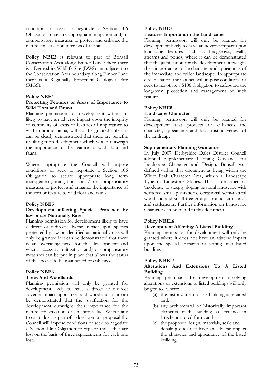conditions or seek to negotiate a Section 106 Obligation to secure appropriate mitigation and/or compensatory measures to protect and enhance the nature conservation interests of the site.

**Policy NBE3** is relevant to part of Bonsall Conservation Area along Ember Lane where there is a Derbyshire Wildlife Site (DWS) and adjacent to the Conservation Area boundary along Ember Lane there is a Regionally Important Geological Site (RIGS).

#### **Policy NBE4**

#### **Protecting Features or Areas of Importance to Wild Flora and Fauna**

Planning permission for development within, or likely to have an adverse impact upon the integrity or continuity of areas or features of importance to wild flora and fauna, will not be granted unless it can be clearly demonstrated that there are benefits resulting from development which would outweigh the importance of the feature to wild flora and fauna.

Where appropriate the Council will impose conditions or seek to negotiate a Section 106 Obligation to secure appropriate long term management, mitigation and  $\int$  or compensatory measures to protect and enhance the importance of the area or feature to wild flora and fauna

#### **Policy NBE5**

#### **Development affecting Species Protected by law or are Nationally Rare**

Planning permission for development likely to have a direct or indirect adverse impact upon species protected by law or identified as nationally rare will only be granted if it can be demonstrated that there is an overriding need for the development and where necessary, mitigation and/or compensatory measures can be put in place that allows the status of the species to be maintained or enhanced.

### **Policy NBE6**

#### **Trees And Woodlands**

Planning permission will only be granted for development likely to have a direct or indirect adverse impact upon trees and woodlands if it can be demonstrated that the justification for the development outweighs their importance for the nature conservation or amenity value. Where any trees are lost as part of a development proposal the Council will impose conditions or seek to negotiate a Section 106 Obligation to replace those that are lost on the basis of three replacements for each one lost.

#### **Policy NBE7**

#### **Features Important in the Landscape**

Planning permission will only be granted for development likely to have an adverse impact upon landscape features such as hedgerows, walls, streams and ponds, where it can be demonstrated that the justification for the development outweighs their importance to the character and appearance of the immediate and wider landscape. In appropriate circumstances the Council will impose conditions or seek to negotiate a S106 Obligation to safeguard the long-term protection and management of such features.

#### **Policy NBE8**

#### **Landscape Character**

Planning permission will only be granted for development that protects or enhances the character, appearance and local distinctiveness of the landscape.

#### **Supplementary Planning Guidance**

In July 2007 Derbyshire Dales District Council adopted Supplementary Planning Guidance for Landscape Character and Design. Bonsall was defined within that document as being within the White Peak Character Area, within a Landscape Type of Limestone Slopes. This is described as 'moderate to steeply sloping pastoral landscape with scattered small plantations, occasional semi-natural woodland and small tree groups around farmsteads and settlements. Further information on Landscape Character can be found in this document.

#### **Policy NBE16**

#### **Development Affecting A Listed Building**

Planning permission for development will only be granted where it does not have an adverse impact upon the special character or setting of a listed building.

#### **Policy NBE17**

#### **Alterations And Extensions To A Listed Building**

Planning permission for development involving alterations or extensions to listed buildings will only be granted where;

- (a) the historic form of the building is retained and;
- (b) any architectural or historically important elements of the building, are retained in largely unaltered form; and
- (c) the proposed design, materials, scale and detailing does not have an adverse impact the character and appearance of the listed building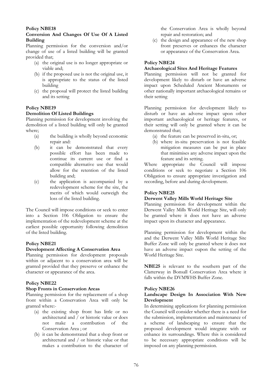#### **Policy NBE18**

#### **Conversion And Changes Of Use Of A Listed Building**

Planning permission for the conversion and/or change of use of a listed building will be granted provided that;

- (a) the original use is no longer appropriate or viable and;
- (b) if the proposed use is not the original use, it is appropriate to the status of the listed building
- (c) the proposal will protect the listed building and its setting

#### **Policy NBE19**

#### **Demolition Of Listed Buildings**

Planning permission for development involving the demolition of a listed building will only be granted where;

- (a) the building is wholly beyond economic repair and:
- (b) it can be demonstrated that every possible effort has been made to continue its current use or find a compatible alternative use that would allow for the retention of the listed building and;
- (c) the application is accompanied by a redevelopment scheme for the site, the merits of which would outweigh the loss of the listed building.

The Council will impose conditions or seek to enter into a Section 106 Obligation to ensure the implementation of the redevelopment scheme at the earliest possible opportunity following demolition of the listed building.

#### **Policy NBE21**

#### **Development Affecting A Conservation Area**

Planning permission for development proposals within or adjacent to a conservation area will be granted provided that they preserve or enhance the character or appearance of the area.

#### **Policy NBE22**

#### **Shop Fronts in Conservation Areas**

Planning permission for the replacement of a shop front within a Conservation Area will only be granted where:-

- (a) the existing shop front has little or no architectural and  $\hat{ }$  or historic value or does<br>not make a contribution of the a contribution of the Conservation Area ; or
- (b) it can be demonstrated that a shop front or architectural and / or historic value or that makes a contribution to the character of

the Conservation Area is wholly beyond repair and restoration; and

(c) the design and appearance of the new shop front preserves or enhances the character or appearance of the Conservation Area.

#### **Policy NBE24**

#### **Archaeological Sites And Heritage Features**

Planning permission will not be granted for development likely to disturb or have an adverse impact upon Scheduled Ancient Monuments or other nationally important archaeological remains or their setting

Planning permission for development likely to disturb or have an adverse impact upon other important archaeological or heritage features, or their setting will only be granted where it can be demonstrated that;

- (a) the feature can be preserved in-situ, or;
- (b) where in-situ preservation is not feasible mitigation measures can be put in place that minimises any adverse impact upon the feature and its setting.

Where appropriate the Council will impose conditions or seek to negotiate a Section 106 Obligation to ensure appropriate investigation and recording, before and during development.

#### **Policy NBE25**

#### **Derwent Valley Mills World Heritage Site**

Planning permission for development within the Derwent Valley Mills World Heritage Site, will only be granted where it does not have an adverse impact upon its character and appearance.

Planning permission for development within the and the Derwent Valley Mills World Heritage Site Buffer Zone will only be granted where it does not have an adverse impact oupon the setting of the World Heritage Site.

**NBE25** is relevant to the southern part of the Clatterway in Bonsall Conservation Area where it falls within the DVMWHS Buffer Zone.

#### **Policy NBE26**

#### **Landscape Design In Association With New Development**

In determining applications for planning permission the Council will consider whether there is a need for the submission, implementation and maintenance of a scheme of landscaping to ensure that the proposed development would integrate with or enhance its surroundings. Where this is considered to be necessary appropriate conditions will be imposed on any planning permission.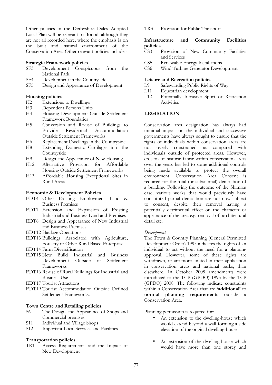Other policies in the Derbyshire Dales Adopted Local Plan will be relevant to Bonsall although they are not all recorded here, where the emphasis is on the built and natural environment of the Conservation Area. Other relevant policies include:-

#### **Strategic Framework policies**

- SF3 Development Conspicuous from the National Park
- SF4 Development in the Countryside
- SF5 Design and Appearance of Development

#### **Housing policies**

- H2 Extensions to Dwellings
- H3 Dependent Persons Units
- H4 Housing Development Outside Settlement Framework Boundaries
- H5 Conversion and Re-use of Buildings to Provide Residential Accommodation Outside Settlement Frameworks
- H6 Replacement Dwellings in the Countryside
- H8 Extending Domestic Curtilages into the **Countryside**
- H9 Design and Appearance of New Housing.
- H12 Alternative Provision for Affordable Housing Outside Settlement Frameworks
- H13 Affordable Housing Exceptional Sites in Rural Areas

#### **Economic & Development Policies**

- EDT4 Other Existing Employment Land & Business Premises
- EDT7 Extension and Expansion of Existing Industrial and Business Land and Premises
- EDT8 Design and Appearance of New Industrial and Business Premises
- EDT12 Haulage Operations
- EDT13 Buildings Associated with Agriculture, Forestry or Other Rural Based Enterprise
- EDT14 Farm Diversification<br>EDT15 New Build Industrial
- EDT15 New Build Industrial and Business Development Outside of Settlement Frameworks
- EDT16 Re-use of Rural Buildings for Industrial and Business Use
- EDT17 Tourist Attractions
- EDT19 Tourist Accommodation Outside Defined Settlement Frameworks.

#### **Town Centre and Retailing policies**

- S6 The Design and Appearance of Shops and Commercial premises
- S11 Individual and Village Shops
- S12 Important Local Services and Facilities

#### **Transportation policies**

TR1 Access Requirements and the Impact of New Development

TR3 Provision for Public Transport

#### **Infrastructure and Community Facilities policies**

- CS3 Provision of New Community Facilities and Services
- CS5 Renewable Energy Installations
- CS6 Wind Turbine Generator Development

#### **Leisure and Recreation policies**

- L9 Safeguarding Public Rights of Way
- L11 Equestrian development
- L12 Potentially Intrusive Sport or Recreation **Activities**

#### **LEGISLATION**

Conservation area designation has always had minimal impact on the individual and successive governments have always sought to ensure that the rights of individuals within conservation areas are not overly constrained, as compared with individuals outside of protected areas. However, erosion of historic fabric within conservation areas over the years has led to some additional controls being made available to protect the overall environment. Conservation Area Consent is required for the total (or substantial) demolition of a building. Following the outcome of the Shimizu case, various works that would previously have constituted partial demolition are not now subject to consent, despite their removal having a potentially detrimental effect on the character or appearance of the area e.g. removal of architectural detail etc.

#### *Development*

The Town & Country Planning (General Permitted Development Order) 1995 indicates the rights of an individual to act without the need for a planning approval. However, some of these rights are withdrawn, or are more limited in their application in conservation areas and national parks, than elsewhere. In October 2008 amendments were introduced to the TCP (GPDO) 1995 by the TCP (GPDO) 2008. The following indicate constraints within a Conservation Area that are **'additional'** to **normal planning requirements** outside a Conservation Area**.** 

Planning permission is required for:-

- An extension to the dwelling-house which would extend beyond a wall forming a side elevation of the original dwelling-house.
- An extension of the dwelling-house which would have more than one storey and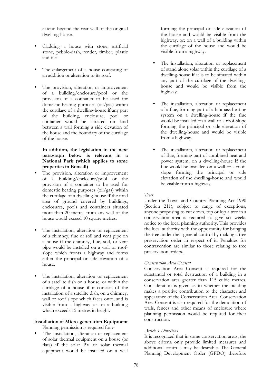extend beyond the rear wall of the original dwelling-house.

- Cladding a house with stone, artificial stone, pebble-dash, render, timber, plastic and tiles.
- The enlargement of a house consisting of an addition or alteration to its roof.
- The provision, alteration or improvement of a building/enclosure/pool or the provision of a container to be used for domestic heating purposes (oil/gas) within the curtilage of a dwelling-house **if** any part of the building, enclosure, pool or container would be situated on land between a wall forming a side elevation of the house and the boundary of the curtilage of the house.

#### **In addition, the legislation in the next paragraph below is relevant in a National Park (which applies to some properties in Bonsall)**

- The provision, alteration or improvement of a building/enclosure/pool or the provision of a container to be used for domestic heating purposes (oil/gas) within the curtilage of a dwelling-house **if** the total area of ground covered by buildings, enclosures, pools and containers situated more than 20 metres from any wall of the house would exceed 10 square metres.
- The installation, alteration or replacement of a chimney, flue or soil and vent pipe on a house **if** the chimney, flue, soil, or vent pipe would be installed on a wall or roofslope which fronts a highway and forms either the principal or side elevation of a house.
- The installation, alteration or replacement of a satellite dish on a house, or within the curtilage of a house **if** it consists of the installation of a satellite dish, on a chimney, wall or roof slope which faces onto, and is visible from a highway or on a building which exceeds 15 metres in height.

#### **Installation of Micro-generation Equipment**  Planning permission is required for :-

The installation, alteration or replacement of solar thermal equipment on a house (or flats) **if** the solar PV or solar thermal equipment would be installed on a wall forming the principal or side elevation of the house and would be visible from the highway, or; on a wall of a building within the curtilage of the house and would be visible from a highway.

- The installation, alteration or replacement of stand alone solar within the curtilage of a dwelling-house **if** it is to be situated within any part of the curtilage of the dwellinghouse and would be visible from the highway.
- The installation, alteration or replacement of a flue, forming part of a biomass heating system on a dwelling-house **if** the flue would be installed on a wall or a roof-slope forming the principal or side elevation of the dwelling-house and would be visible from a highway.
- The installation, alteration or replacement of flue, forming part of combined heat and power system, on a dwelling-house **if** the flue would be installed on a wall or a roofslope forming the principal or side elevation of the dwelling-house and would be visible from a highway.

#### *Trees*

Under the Town and Country Planning Act 1990 (Section 211), subject to range of exceptions, anyone proposing to cut down, top or lop a tree in a conservation area is required to give six weeks notice to the local planning authority. This provides the local authority with the opportunity for bringing the tree under their general control by making a tree preservation order in respect of it. Penalties for contravention are similar to those relating to tree preservation orders.

#### *Conservation Area Consent*

Conservation Area Consent is required for the substantial or total destruction of a building in a conservation area greater than 115 cubic metres. Consideration is given as to whether the building makes a positive contribution to the character and appearance of the Conservation Area. Conservation Area Consent is also required for the demolition of walls, fences and other means of enclosure where planning permission would be required for their construction.

#### *Article 4 Directions*

It is recognized that in some conservation areas, the above criteria only provide limited measures and additional controls may be desirable. The General Planning Development Order (GPDO) therefore